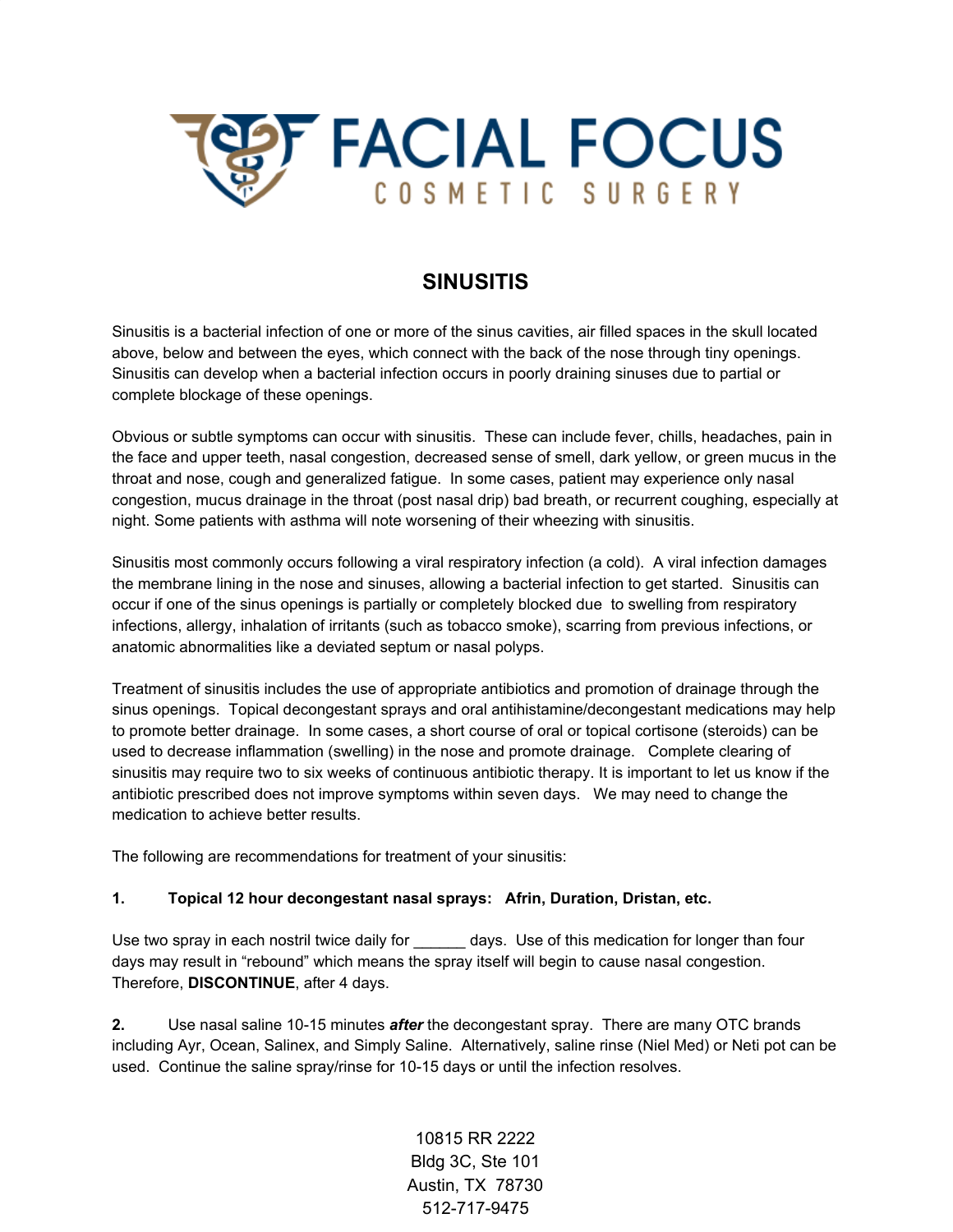

# **SINUSITIS**

Sinusitis is a bacterial infection of one or more of the sinus cavities, air filled spaces in the skull located above, below and between the eyes, which connect with the back of the nose through tiny openings. Sinusitis can develop when a bacterial infection occurs in poorly draining sinuses due to partial or complete blockage of these openings.

Obvious or subtle symptoms can occur with sinusitis. These can include fever, chills, headaches, pain in the face and upper teeth, nasal congestion, decreased sense of smell, dark yellow, or green mucus in the throat and nose, cough and generalized fatigue. In some cases, patient may experience only nasal congestion, mucus drainage in the throat (post nasal drip) bad breath, or recurrent coughing, especially at night. Some patients with asthma will note worsening of their wheezing with sinusitis.

Sinusitis most commonly occurs following a viral respiratory infection (a cold). A viral infection damages the membrane lining in the nose and sinuses, allowing a bacterial infection to get started. Sinusitis can occur if one of the sinus openings is partially or completely blocked due to swelling from respiratory infections, allergy, inhalation of irritants (such as tobacco smoke), scarring from previous infections, or anatomic abnormalities like a deviated septum or nasal polyps.

Treatment of sinusitis includes the use of appropriate antibiotics and promotion of drainage through the sinus openings. Topical decongestant sprays and oral antihistamine/decongestant medications may help to promote better drainage. In some cases, a short course of oral or topical cortisone (steroids) can be used to decrease inflammation (swelling) in the nose and promote drainage. Complete clearing of sinusitis may require two to six weeks of continuous antibiotic therapy. It is important to let us know if the antibiotic prescribed does not improve symptoms within seven days. We may need to change the medication to achieve better results.

The following are recommendations for treatment of your sinusitis:

#### **1. Topical 12 hour decongestant nasal sprays: Afrin, Duration, Dristan, etc.**

Use two spray in each nostril twice daily for \_\_\_\_\_\_\_ days. Use of this medication for longer than four days may result in "rebound" which means the spray itself will begin to cause nasal congestion. Therefore, **DISCONTINUE**, after 4 days.

**2.** Use nasal saline 10-15 minutes *after* the decongestant spray. There are many OTC brands including Ayr, Ocean, Salinex, and Simply Saline. Alternatively, saline rinse (Niel Med) or Neti pot can be used. Continue the saline spray/rinse for 10-15 days or until the infection resolves.

> 10815 RR 2222 Bldg 3C, Ste 101 Austin, TX 78730 512-717-9475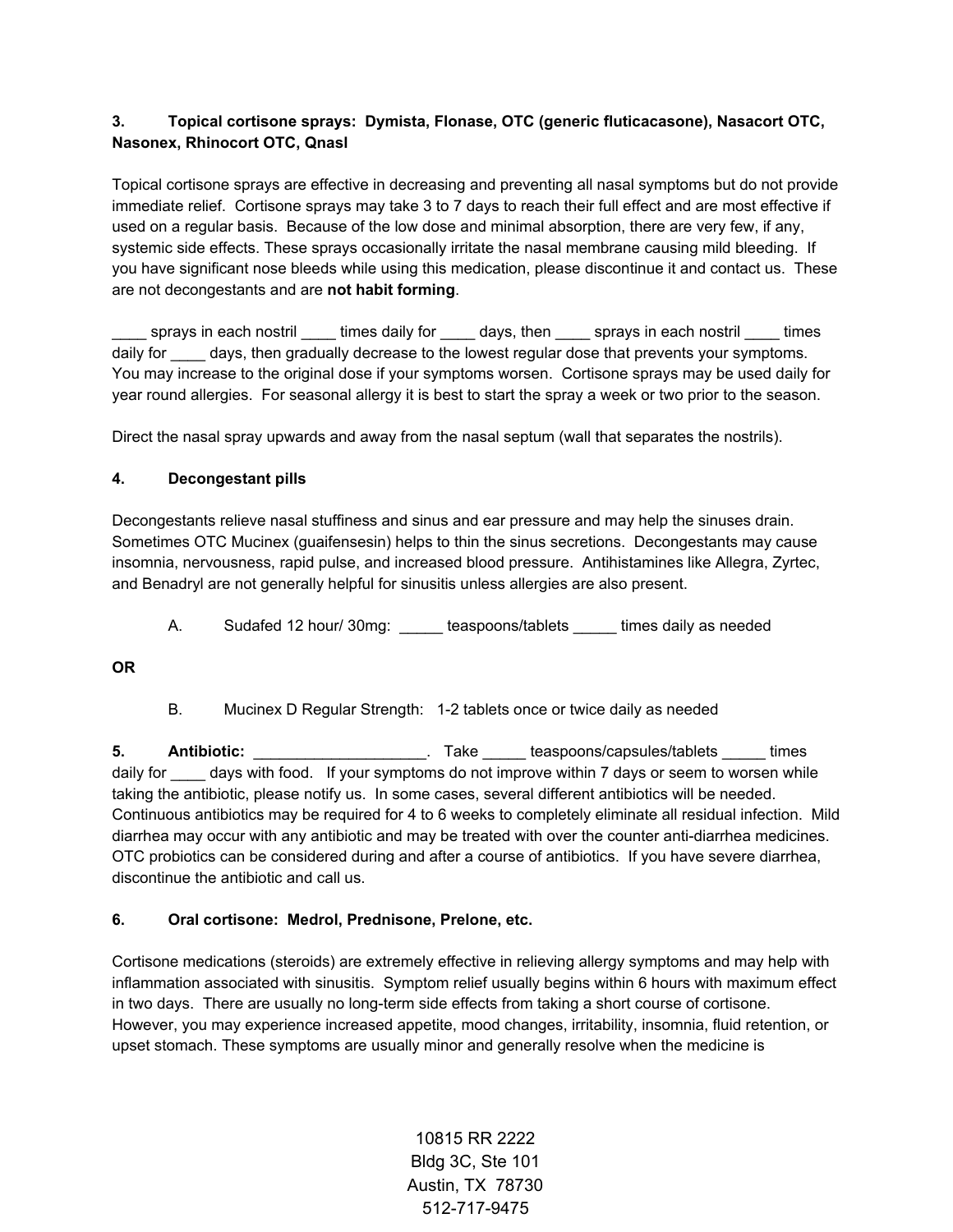# **3. Topical cortisone sprays: Dymista, Flonase, OTC (generic fluticacasone), Nasacort OTC, Nasonex, Rhinocort OTC, Qnasl**

Topical cortisone sprays are effective in decreasing and preventing all nasal symptoms but do not provide immediate relief. Cortisone sprays may take 3 to 7 days to reach their full effect and are most effective if used on a regular basis. Because of the low dose and minimal absorption, there are very few, if any, systemic side effects. These sprays occasionally irritate the nasal membrane causing mild bleeding. If you have significant nose bleeds while using this medication, please discontinue it and contact us. These are not decongestants and are **not habit forming**.

sprays in each nostril times daily for days, then sprays in each nostril times daily for days, then gradually decrease to the lowest regular dose that prevents your symptoms. You may increase to the original dose if your symptoms worsen. Cortisone sprays may be used daily for year round allergies. For seasonal allergy it is best to start the spray a week or two prior to the season.

Direct the nasal spray upwards and away from the nasal septum (wall that separates the nostrils).

# **4. Decongestant pills**

Decongestants relieve nasal stuffiness and sinus and ear pressure and may help the sinuses drain. Sometimes OTC Mucinex (guaifensesin) helps to thin the sinus secretions. Decongestants may cause insomnia, nervousness, rapid pulse, and increased blood pressure. Antihistamines like Allegra, Zyrtec, and Benadryl are not generally helpful for sinusitis unless allergies are also present.

A. Sudafed 12 hour/ 30mg: \_\_\_\_\_ teaspoons/tablets \_\_\_\_\_ times daily as needed

**OR**

B. Mucinex D Regular Strength: 1-2 tablets once or twice daily as needed

**5. Antibiotic:** \_\_\_\_\_\_\_\_\_\_\_\_\_\_\_\_\_\_\_\_. Take \_\_\_\_\_ teaspoons/capsules/tablets \_\_\_\_\_ times daily for \_\_\_\_\_ days with food. If your symptoms do not improve within 7 days or seem to worsen while taking the antibiotic, please notify us. In some cases, several different antibiotics will be needed. Continuous antibiotics may be required for 4 to 6 weeks to completely eliminate all residual infection. Mild diarrhea may occur with any antibiotic and may be treated with over the counter anti-diarrhea medicines. OTC probiotics can be considered during and after a course of antibiotics. If you have severe diarrhea, discontinue the antibiotic and call us.

# **6. Oral cortisone: Medrol, Prednisone, Prelone, etc.**

Cortisone medications (steroids) are extremely effective in relieving allergy symptoms and may help with inflammation associated with sinusitis. Symptom relief usually begins within 6 hours with maximum effect in two days. There are usually no long-term side effects from taking a short course of cortisone. However, you may experience increased appetite, mood changes, irritability, insomnia, fluid retention, or upset stomach. These symptoms are usually minor and generally resolve when the medicine is

> 10815 RR 2222 Bldg 3C, Ste 101 Austin, TX 78730 512-717-9475